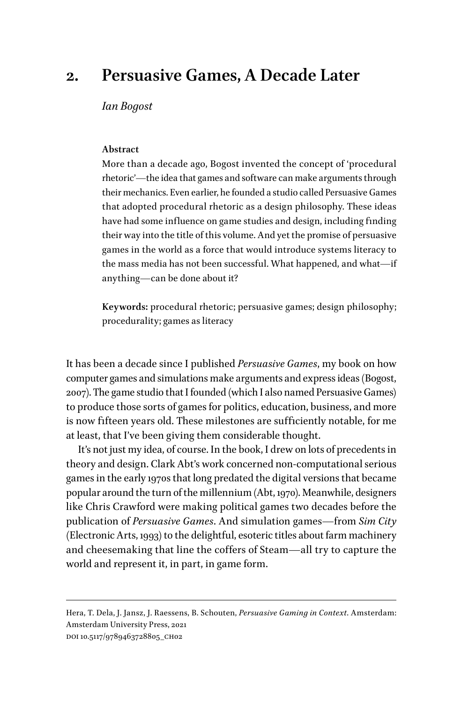## **2. Persuasive Games, A Decade Later**

*Ian Bogost*

## **Abstract**

More than a decade ago, Bogost invented the concept of 'procedural rhetoric'—the idea that games and software can make arguments through their mechanics. Even earlier, he founded a studio called Persuasive Games that adopted procedural rhetoric as a design philosophy. These ideas have had some influence on game studies and design, including finding their way into the title of this volume. And yet the promise of persuasive games in the world as a force that would introduce systems literacy to the mass media has not been successful. What happened, and what—if anything—can be done about it?

**Keywords:** procedural rhetoric; persuasive games; design philosophy; procedurality; games as literacy

It has been a decade since I published *Persuasive Games*, my book on how computer games and simulations make arguments and express ideas (Bogost, 2007). The game studio that I founded (which I also named Persuasive Games) to produce those sorts of games for politics, education, business, and more is now fifteen years old. These milestones are sufficiently notable, for me at least, that I've been giving them considerable thought.

It's not just my idea, of course. In the book, I drew on lots of precedents in theory and design. Clark Abt's work concerned non-computational serious games in the early 1970s that long predated the digital versions that became popular around the turn of the millennium (Abt, 1970). Meanwhile, designers like Chris Crawford were making political games two decades before the publication of *Persuasive Games*. And simulation games—from *Sim City* (Electronic Arts, 1993) to the delightful, esoteric titles about farm machinery and cheesemaking that line the coffers of Steam—all try to capture the world and represent it, in part, in game form.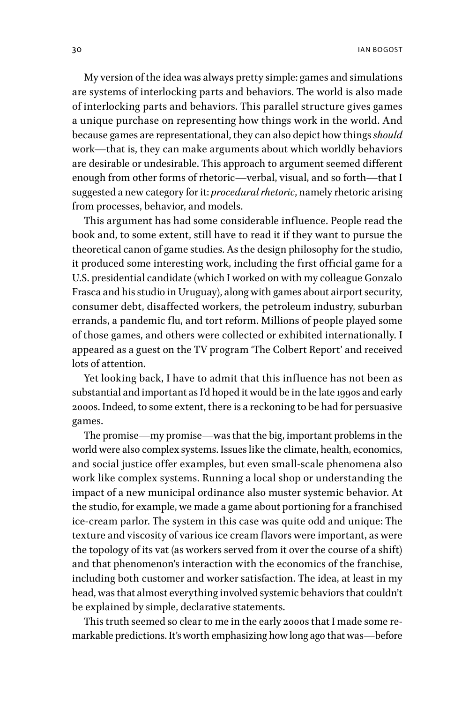My version of the idea was always pretty simple: games and simulations are systems of interlocking parts and behaviors. The world is also made of interlocking parts and behaviors. This parallel structure gives games a unique purchase on representing how things work in the world. And because games are representational, they can also depict how things *should* work—that is, they can make arguments about which worldly behaviors are desirable or undesirable. This approach to argument seemed different enough from other forms of rhetoric—verbal, visual, and so forth—that I suggested a new category for it: *procedural rhetoric*, namely rhetoric arising from processes, behavior, and models.

This argument has had some considerable influence. People read the book and, to some extent, still have to read it if they want to pursue the theoretical canon of game studies. As the design philosophy for the studio, it produced some interesting work, including the first official game for a U.S. presidential candidate (which I worked on with my colleague Gonzalo Frasca and his studio in Uruguay), along with games about airport security, consumer debt, disaffected workers, the petroleum industry, suburban errands, a pandemic flu, and tort reform. Millions of people played some of those games, and others were collected or exhibited internationally. I appeared as a guest on the TV program 'The Colbert Report' and received lots of attention.

Yet looking back, I have to admit that this influence has not been as substantial and important as I'd hoped it would be in the late 1990s and early 2000s. Indeed, to some extent, there is a reckoning to be had for persuasive games.

The promise—my promise—was that the big, important problems in the world were also complex systems. Issues like the climate, health, economics, and social justice offer examples, but even small-scale phenomena also work like complex systems. Running a local shop or understanding the impact of a new municipal ordinance also muster systemic behavior. At the studio, for example, we made a game about portioning for a franchised ice-cream parlor. The system in this case was quite odd and unique: The texture and viscosity of various ice cream flavors were important, as were the topology of its vat (as workers served from it over the course of a shift) and that phenomenon's interaction with the economics of the franchise, including both customer and worker satisfaction. The idea, at least in my head, was that almost everything involved systemic behaviors that couldn't be explained by simple, declarative statements.

This truth seemed so clear to me in the early 2000s that I made some remarkable predictions. It's worth emphasizing how long ago that was—before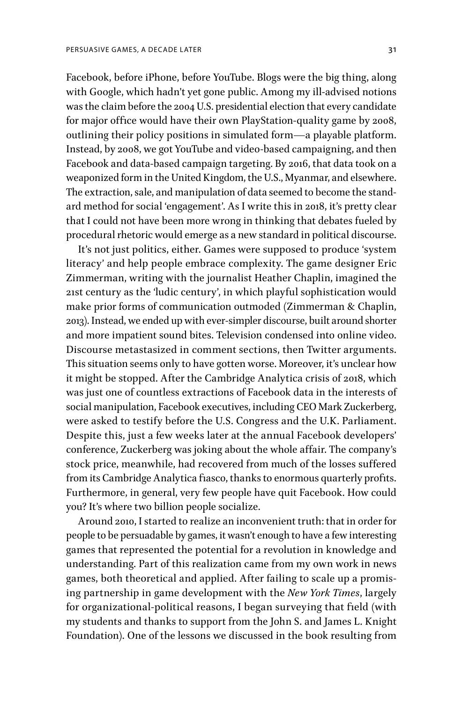Facebook, before iPhone, before YouTube. Blogs were the big thing, along with Google, which hadn't yet gone public. Among my ill-advised notions was the claim before the 2004 U.S. presidential election that every candidate for major office would have their own PlayStation-quality game by 2008, outlining their policy positions in simulated form—a playable platform. Instead, by 2008, we got YouTube and video-based campaigning, and then Facebook and data-based campaign targeting. By 2016, that data took on a weaponized form in the United Kingdom, the U.S., Myanmar, and elsewhere. The extraction, sale, and manipulation of data seemed to become the standard method for social 'engagement'. As I write this in 2018, it's pretty clear that I could not have been more wrong in thinking that debates fueled by procedural rhetoric would emerge as a new standard in political discourse.

It's not just politics, either. Games were supposed to produce 'system literacy' and help people embrace complexity. The game designer Eric Zimmerman, writing with the journalist Heather Chaplin, imagined the 21st century as the 'ludic century', in which playful sophistication would make prior forms of communication outmoded (Zimmerman & Chaplin, 2013). Instead, we ended up with ever-simpler discourse, built around shorter and more impatient sound bites. Television condensed into online video. Discourse metastasized in comment sections, then Twitter arguments. This situation seems only to have gotten worse. Moreover, it's unclear how it might be stopped. After the Cambridge Analytica crisis of 2018, which was just one of countless extractions of Facebook data in the interests of social manipulation, Facebook executives, including CEO Mark Zuckerberg, were asked to testify before the U.S. Congress and the U.K. Parliament. Despite this, just a few weeks later at the annual Facebook developers' conference, Zuckerberg was joking about the whole affair. The company's stock price, meanwhile, had recovered from much of the losses suffered from its Cambridge Analytica fiasco, thanks to enormous quarterly profits. Furthermore, in general, very few people have quit Facebook. How could you? It's where two billion people socialize.

Around 2010, I started to realize an inconvenient truth: that in order for people to be persuadable by games, it wasn't enough to have a few interesting games that represented the potential for a revolution in knowledge and understanding. Part of this realization came from my own work in news games, both theoretical and applied. After failing to scale up a promising partnership in game development with the *New York Times*, largely for organizational-political reasons, I began surveying that field (with my students and thanks to support from the John S. and James L. Knight Foundation). One of the lessons we discussed in the book resulting from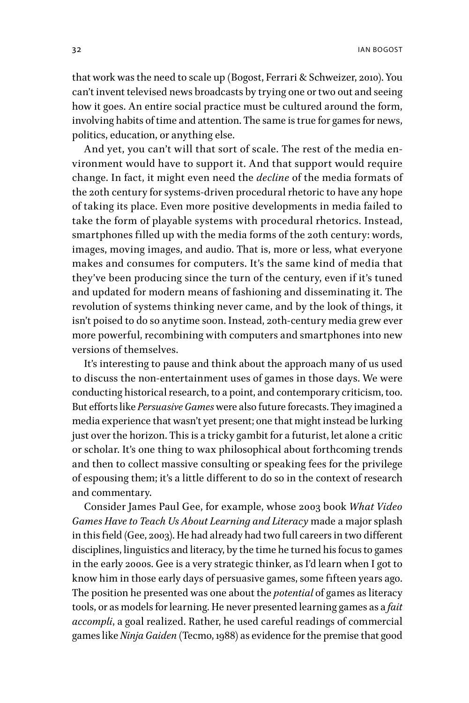that work was the need to scale up (Bogost, Ferrari & Schweizer, 2010). You can't invent televised news broadcasts by trying one or two out and seeing how it goes. An entire social practice must be cultured around the form, involving habits of time and attention. The same is true for games for news, politics, education, or anything else.

And yet, you can't will that sort of scale. The rest of the media environment would have to support it. And that support would require change. In fact, it might even need the *decline* of the media formats of the 20th century for systems-driven procedural rhetoric to have any hope of taking its place. Even more positive developments in media failed to take the form of playable systems with procedural rhetorics. Instead, smartphones filled up with the media forms of the 20th century: words, images, moving images, and audio. That is, more or less, what everyone makes and consumes for computers. It's the same kind of media that they've been producing since the turn of the century, even if it's tuned and updated for modern means of fashioning and disseminating it. The revolution of systems thinking never came, and by the look of things, it isn't poised to do so anytime soon. Instead, 20th-century media grew ever more powerful, recombining with computers and smartphones into new versions of themselves.

It's interesting to pause and think about the approach many of us used to discuss the non-entertainment uses of games in those days. We were conducting historical research, to a point, and contemporary criticism, too. But efforts like *Persuasive Games* were also future forecasts. They imagined a media experience that wasn't yet present; one that might instead be lurking just over the horizon. This is a tricky gambit for a futurist, let alone a critic or scholar. It's one thing to wax philosophical about forthcoming trends and then to collect massive consulting or speaking fees for the privilege of espousing them; it's a little different to do so in the context of research and commentary.

Consider James Paul Gee, for example, whose 2003 book *What Video Games Have to Teach Us About Learning and Literacy* made a major splash in this field (Gee, 2003). He had already had two full careers in two different disciplines, linguistics and literacy, by the time he turned his focus to games in the early 2000s. Gee is a very strategic thinker, as I'd learn when I got to know him in those early days of persuasive games, some fifteen years ago. The position he presented was one about the *potential* of games as literacy tools, or as models for learning. He never presented learning games as a *fait accompli*, a goal realized. Rather, he used careful readings of commercial games like *Ninja Gaiden* (Tecmo, 1988) as evidence for the premise that good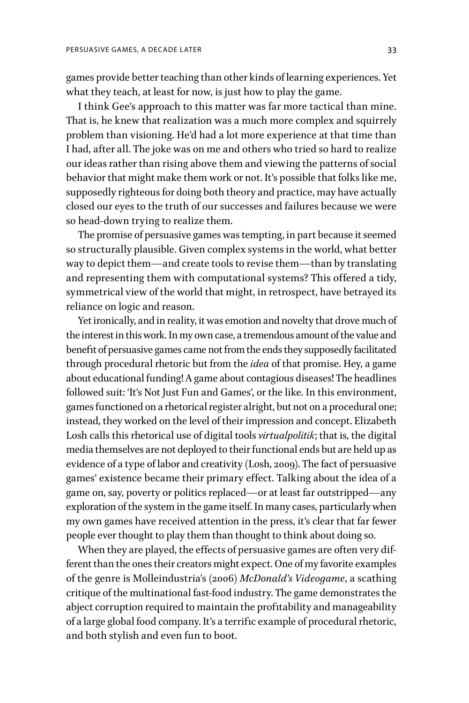games provide better teaching than other kinds of learning experiences. Yet what they teach, at least for now, is just how to play the game.

I think Gee's approach to this matter was far more tactical than mine. That is, he knew that realization was a much more complex and squirrely problem than visioning. He'd had a lot more experience at that time than I had, after all. The joke was on me and others who tried so hard to realize our ideas rather than rising above them and viewing the patterns of social behavior that might make them work or not. It's possible that folks like me, supposedly righteous for doing both theory and practice, may have actually closed our eyes to the truth of our successes and failures because we were so head-down trying to realize them.

The promise of persuasive games was tempting, in part because it seemed so structurally plausible. Given complex systems in the world, what better way to depict them—and create tools to revise them—than by translating and representing them with computational systems? This offered a tidy, symmetrical view of the world that might, in retrospect, have betrayed its reliance on logic and reason.

Yet ironically, and in reality, it was emotion and novelty that drove much of the interest in this work. In my own case, a tremendous amount of the value and benefit of persuasive games came not from the ends they supposedly facilitated through procedural rhetoric but from the *idea* of that promise. Hey, a game about educational funding! A game about contagious diseases! The headlines followed suit: 'It's Not Just Fun and Games', or the like. In this environment, games functioned on a rhetorical register alright, but not on a procedural one; instead, they worked on the level of their impression and concept. Elizabeth Losh calls this rhetorical use of digital tools *virtualpolitik*; that is, the digital media themselves are not deployed to their functional ends but are held up as evidence of a type of labor and creativity (Losh, 2009). The fact of persuasive games' existence became their primary effect. Talking about the idea of a game on, say, poverty or politics replaced—or at least far outstripped—any exploration of the system in the game itself. In many cases, particularly when my own games have received attention in the press, it's clear that far fewer people ever thought to play them than thought to think about doing so.

When they are played, the effects of persuasive games are often very different than the ones their creators might expect. One of my favorite examples of the genre is Molleindustria's (2006) *McDonald's Videogame*, a scathing critique of the multinational fast-food industry. The game demonstrates the abject corruption required to maintain the profitability and manageability of a large global food company. It's a terrific example of procedural rhetoric, and both stylish and even fun to boot.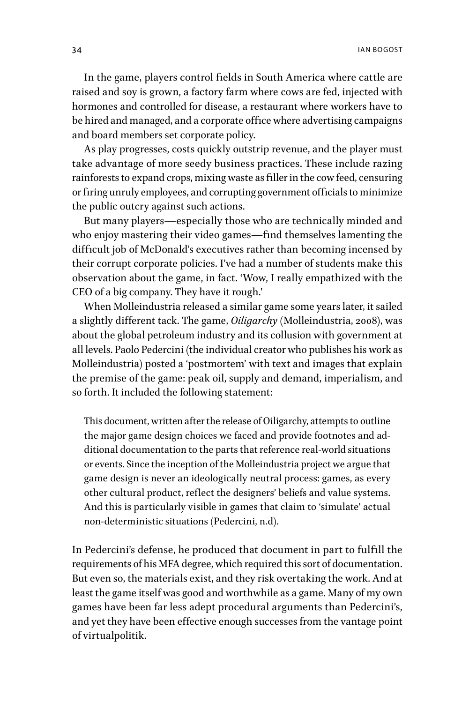In the game, players control fields in South America where cattle are raised and soy is grown, a factory farm where cows are fed, injected with hormones and controlled for disease, a restaurant where workers have to be hired and managed, and a corporate office where advertising campaigns and board members set corporate policy.

As play progresses, costs quickly outstrip revenue, and the player must take advantage of more seedy business practices. These include razing rainforests to expand crops, mixing waste as filler in the cow feed, censuring or firing unruly employees, and corrupting government officials to minimize the public outcry against such actions.

But many players—especially those who are technically minded and who enjoy mastering their video games—find themselves lamenting the difficult job of McDonald's executives rather than becoming incensed by their corrupt corporate policies. I've had a number of students make this observation about the game, in fact. 'Wow, I really empathized with the CEO of a big company. They have it rough.'

When Molleindustria released a similar game some years later, it sailed a slightly different tack. The game, *Oiligarchy* (Molleindustria, 2008), was about the global petroleum industry and its collusion with government at all levels. Paolo Pedercini (the individual creator who publishes his work as Molleindustria) posted a 'postmortem' with text and images that explain the premise of the game: peak oil, supply and demand, imperialism, and so forth. It included the following statement:

This document, written after the release of Oiligarchy, attempts to outline the major game design choices we faced and provide footnotes and additional documentation to the parts that reference real-world situations or events. Since the inception of the Molleindustria project we argue that game design is never an ideologically neutral process: games, as every other cultural product, reflect the designers' beliefs and value systems. And this is particularly visible in games that claim to 'simulate' actual non-deterministic situations (Pedercini, n.d).

In Pedercini's defense, he produced that document in part to fulfill the requirements of his MFA degree, which required this sort of documentation. But even so, the materials exist, and they risk overtaking the work. And at least the game itself was good and worthwhile as a game. Many of my own games have been far less adept procedural arguments than Pedercini's, and yet they have been effective enough successes from the vantage point of virtualpolitik.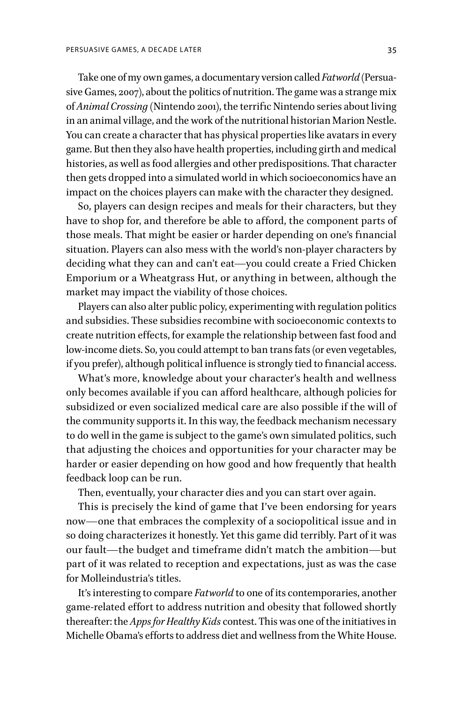Take one of my own games, a documentary version called *Fatworld* (Persuasive Games, 2007), about the politics of nutrition. The game was a strange mix of *Animal Crossing* (Nintendo 2001), the terrific Nintendo series about living in an animal village, and the work of the nutritional historian Marion Nestle. You can create a character that has physical properties like avatars in every game. But then they also have health properties, including girth and medical histories, as well as food allergies and other predispositions. That character then gets dropped into a simulated world in which socioeconomics have an impact on the choices players can make with the character they designed.

So, players can design recipes and meals for their characters, but they have to shop for, and therefore be able to afford, the component parts of those meals. That might be easier or harder depending on one's financial situation. Players can also mess with the world's non-player characters by deciding what they can and can't eat—you could create a Fried Chicken Emporium or a Wheatgrass Hut, or anything in between, although the market may impact the viability of those choices.

Players can also alter public policy, experimenting with regulation politics and subsidies. These subsidies recombine with socioeconomic contexts to create nutrition effects, for example the relationship between fast food and low-income diets. So, you could attempt to ban trans fats (or even vegetables, if you prefer), although political influence is strongly tied to financial access.

What's more, knowledge about your character's health and wellness only becomes available if you can afford healthcare, although policies for subsidized or even socialized medical care are also possible if the will of the community supports it. In this way, the feedback mechanism necessary to do well in the game is subject to the game's own simulated politics, such that adjusting the choices and opportunities for your character may be harder or easier depending on how good and how frequently that health feedback loop can be run.

Then, eventually, your character dies and you can start over again.

This is precisely the kind of game that I've been endorsing for years now—one that embraces the complexity of a sociopolitical issue and in so doing characterizes it honestly. Yet this game did terribly. Part of it was our fault—the budget and timeframe didn't match the ambition—but part of it was related to reception and expectations, just as was the case for Molleindustria's titles.

It's interesting to compare *Fatworld* to one of its contemporaries, another game-related effort to address nutrition and obesity that followed shortly thereafter: the *Apps for Healthy Kids* contest. This was one of the initiatives in Michelle Obama's efforts to address diet and wellness from the White House.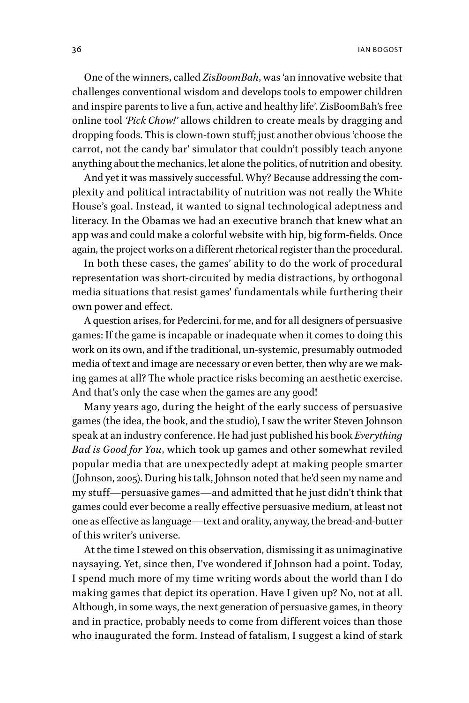One of the winners, called *ZisBoomBah*, was 'an innovative website that challenges conventional wisdom and develops tools to empower children and inspire parents to live a fun, active and healthy life'. ZisBoomBah's free online tool *'Pick Chow!'* allows children to create meals by dragging and dropping foods. This is clown-town stuff; just another obvious 'choose the carrot, not the candy bar' simulator that couldn't possibly teach anyone anything about the mechanics, let alone the politics, of nutrition and obesity.

And yet it was massively successful. Why? Because addressing the complexity and political intractability of nutrition was not really the White House's goal. Instead, it wanted to signal technological adeptness and literacy. In the Obamas we had an executive branch that knew what an app was and could make a colorful website with hip, big form-fields. Once again, the project works on a different rhetorical register than the procedural.

In both these cases, the games' ability to do the work of procedural representation was short-circuited by media distractions, by orthogonal media situations that resist games' fundamentals while furthering their own power and effect.

A question arises, for Pedercini, for me, and for all designers of persuasive games: If the game is incapable or inadequate when it comes to doing this work on its own, and if the traditional, un-systemic, presumably outmoded media of text and image are necessary or even better, then why are we making games at all? The whole practice risks becoming an aesthetic exercise. And that's only the case when the games are any good!

Many years ago, during the height of the early success of persuasive games (the idea, the book, and the studio), I saw the writer Steven Johnson speak at an industry conference. He had just published his book *Everything Bad is Good for You*, which took up games and other somewhat reviled popular media that are unexpectedly adept at making people smarter (Johnson, 2005). During his talk, Johnson noted that he'd seen my name and my stuff—persuasive games—and admitted that he just didn't think that games could ever become a really effective persuasive medium, at least not one as effective as language—text and orality, anyway, the bread-and-butter of this writer's universe.

At the time I stewed on this observation, dismissing it as unimaginative naysaying. Yet, since then, I've wondered if Johnson had a point. Today, I spend much more of my time writing words about the world than I do making games that depict its operation. Have I given up? No, not at all. Although, in some ways, the next generation of persuasive games, in theory and in practice, probably needs to come from different voices than those who inaugurated the form. Instead of fatalism, I suggest a kind of stark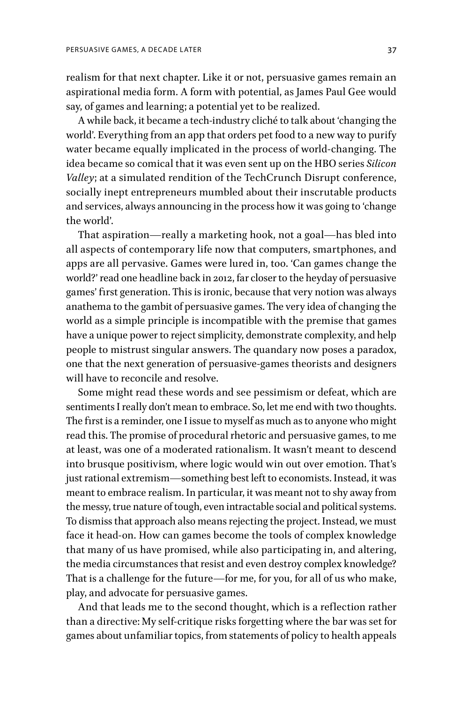realism for that next chapter. Like it or not, persuasive games remain an aspirational media form. A form with potential, as James Paul Gee would say, of games and learning; a potential yet to be realized.

A while back, it became a tech-industry cliché to talk about 'changing the world'. Everything from an app that orders pet food to a new way to purify water became equally implicated in the process of world-changing. The idea became so comical that it was even sent up on the HBO series *Silicon Valley*; at a simulated rendition of the TechCrunch Disrupt conference, socially inept entrepreneurs mumbled about their inscrutable products and services, always announcing in the process how it was going to 'change the world'.

That aspiration—really a marketing hook, not a goal—has bled into all aspects of contemporary life now that computers, smartphones, and apps are all pervasive. Games were lured in, too. 'Can games change the world?' read one headline back in 2012, far closer to the heyday of persuasive games' first generation. This is ironic, because that very notion was always anathema to the gambit of persuasive games. The very idea of changing the world as a simple principle is incompatible with the premise that games have a unique power to reject simplicity, demonstrate complexity, and help people to mistrust singular answers. The quandary now poses a paradox, one that the next generation of persuasive-games theorists and designers will have to reconcile and resolve.

Some might read these words and see pessimism or defeat, which are sentiments I really don't mean to embrace. So, let me end with two thoughts. The first is a reminder, one I issue to myself as much as to anyone who might read this. The promise of procedural rhetoric and persuasive games, to me at least, was one of a moderated rationalism. It wasn't meant to descend into brusque positivism, where logic would win out over emotion. That's just rational extremism—something best left to economists. Instead, it was meant to embrace realism. In particular, it was meant not to shy away from the messy, true nature of tough, even intractable social and political systems. To dismiss that approach also means rejecting the project. Instead, we must face it head-on. How can games become the tools of complex knowledge that many of us have promised, while also participating in, and altering, the media circumstances that resist and even destroy complex knowledge? That is a challenge for the future—for me, for you, for all of us who make, play, and advocate for persuasive games.

And that leads me to the second thought, which is a reflection rather than a directive: My self-critique risks forgetting where the bar was set for games about unfamiliar topics, from statements of policy to health appeals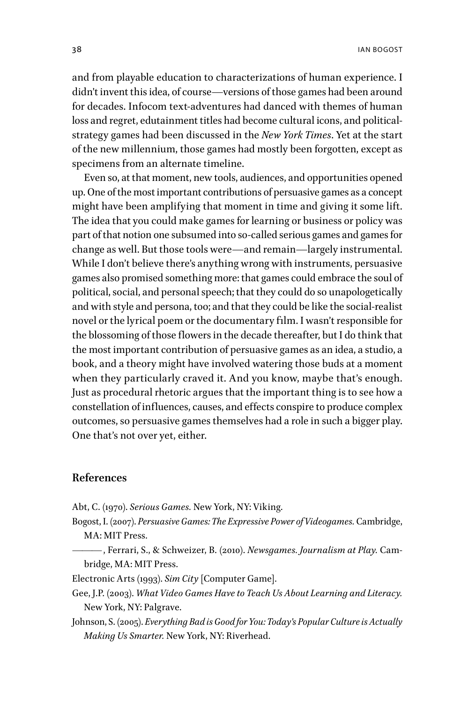and from playable education to characterizations of human experience. I didn't invent this idea, of course—versions of those games had been around for decades. Infocom text-adventures had danced with themes of human loss and regret, edutainment titles had become cultural icons, and politicalstrategy games had been discussed in the *New York Times*. Yet at the start of the new millennium, those games had mostly been forgotten, except as specimens from an alternate timeline.

Even so, at that moment, new tools, audiences, and opportunities opened up. One of the most important contributions of persuasive games as a concept might have been amplifying that moment in time and giving it some lift. The idea that you could make games for learning or business or policy was part of that notion one subsumed into so-called serious games and games for change as well. But those tools were—and remain—largely instrumental. While I don't believe there's anything wrong with instruments, persuasive games also promised something more: that games could embrace the soul of political, social, and personal speech; that they could do so unapologetically and with style and persona, too; and that they could be like the social-realist novel or the lyrical poem or the documentary film. I wasn't responsible for the blossoming of those flowers in the decade thereafter, but I do think that the most important contribution of persuasive games as an idea, a studio, a book, and a theory might have involved watering those buds at a moment when they particularly craved it. And you know, maybe that's enough. Just as procedural rhetoric argues that the important thing is to see how a constellation of influences, causes, and effects conspire to produce complex outcomes, so persuasive games themselves had a role in such a bigger play. One that's not over yet, either.

## **References**

Abt, C. (1970). *Serious Games.* New York, NY: Viking.

Bogost, I. (2007). *Persuasive Games: The Expressive Power of Videogames.* Cambridge, MA: MIT Press.

——— , Ferrari, S., & Schweizer, B. (2010). *Newsgames. Journalism at Play.* Cambridge, MA: MIT Press.

Electronic Arts (1993). *Sim City* [Computer Game].

- Gee, J.P. (2003). *What Video Games Have to Teach Us About Learning and Literacy.*  New York, NY: Palgrave.
- Johnson, S. (2005). *Everything Bad is Good for You: Today's Popular Culture is Actually Making Us Smarter.* New York, NY: Riverhead.